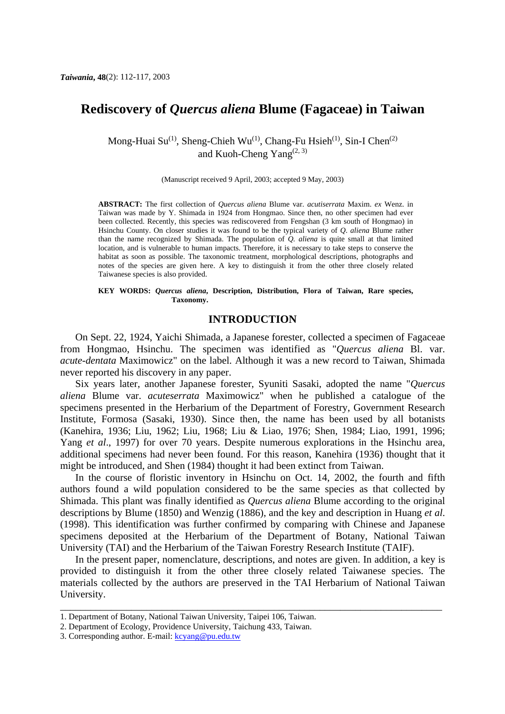# **Rediscovery of** *Quercus aliena* **Blume (Fagaceae) in Taiwan**

Mong-Huai Su<sup>(1)</sup>, Sheng-Chieh Wu<sup>(1)</sup>, Chang-Fu Hsieh<sup>(1)</sup>, Sin-I Chen<sup>(2)</sup> and Kuoh-Cheng Yang $(2, 3)$ 

(Manuscript received 9 April, 2003; accepted 9 May, 2003)

**ABSTRACT:** The first collection of *Quercus aliena* Blume var. *acutiserrata* Maxim. *ex* Wenz. in Taiwan was made by Y. Shimada in 1924 from Hongmao. Since then, no other specimen had ever been collected. Recently, this species was rediscovered from Fengshan (3 km south of Hongmao) in Hsinchu County. On closer studies it was found to be the typical variety of *Q*. *aliena* Blume rather than the name recognized by Shimada. The population of *Q. aliena* is quite small at that limited location, and is vulnerable to human impacts. Therefore, it is necessary to take steps to conserve the habitat as soon as possible. The taxonomic treatment, morphological descriptions, photographs and notes of the species are given here. A key to distinguish it from the other three closely related Taiwanese species is also provided.

#### **KEY WORDS:** *Quercus aliena***, Description, Distribution, Flora of Taiwan, Rare species, Taxonomy.**

# **INTRODUCTION**

 On Sept. 22, 1924, Yaichi Shimada, a Japanese forester, collected a specimen of Fagaceae from Hongmao, Hsinchu. The specimen was identified as "*Quercus aliena* Bl. var. *acute-dentata* Maximowicz" on the label. Although it was a new record to Taiwan, Shimada never reported his discovery in any paper.

 Six years later, another Japanese forester, Syuniti Sasaki, adopted the name "*Quercus aliena* Blume var. *acuteserrata* Maximowicz" when he published a catalogue of the specimens presented in the Herbarium of the Department of Forestry, Government Research Institute, Formosa (Sasaki, 1930). Since then, the name has been used by all botanists (Kanehira, 1936; Liu, 1962; Liu, 1968; Liu & Liao, 1976; Shen, 1984; Liao, 1991, 1996; Yang *et al*., 1997) for over 70 years. Despite numerous explorations in the Hsinchu area, additional specimens had never been found. For this reason, Kanehira (1936) thought that it might be introduced, and Shen (1984) thought it had been extinct from Taiwan.

 In the course of floristic inventory in Hsinchu on Oct. 14, 2002, the fourth and fifth authors found a wild population considered to be the same species as that collected by Shimada. This plant was finally identified as *Quercus aliena* Blume according to the original descriptions by Blume (1850) and Wenzig (1886), and the key and description in Huang *et al*. (1998). This identification was further confirmed by comparing with Chinese and Japanese specimens deposited at the Herbarium of the Department of Botany, National Taiwan University (TAI) and the Herbarium of the Taiwan Forestry Research Institute (TAIF).

 In the present paper, nomenclature, descriptions, and notes are given. In addition, a key is provided to distinguish it from the other three closely related Taiwanese species. The materials collected by the authors are preserved in the TAI Herbarium of National Taiwan University.

\_\_\_\_\_\_\_\_\_\_\_\_\_\_\_\_\_\_\_\_\_\_\_\_\_\_\_\_\_\_\_\_\_\_\_\_\_\_\_\_\_\_\_\_\_\_\_\_\_\_\_\_\_\_\_\_\_\_\_\_\_\_\_\_\_\_\_\_\_\_\_\_\_\_\_

<sup>1.</sup> Department of Botany, National Taiwan University, Taipei 106, Taiwan.

<sup>2.</sup> Department of Ecology, Providence University, Taichung 433, Taiwan.

<sup>3.</sup> Corresponding author. E-mail: kcyang@pu.edu.tw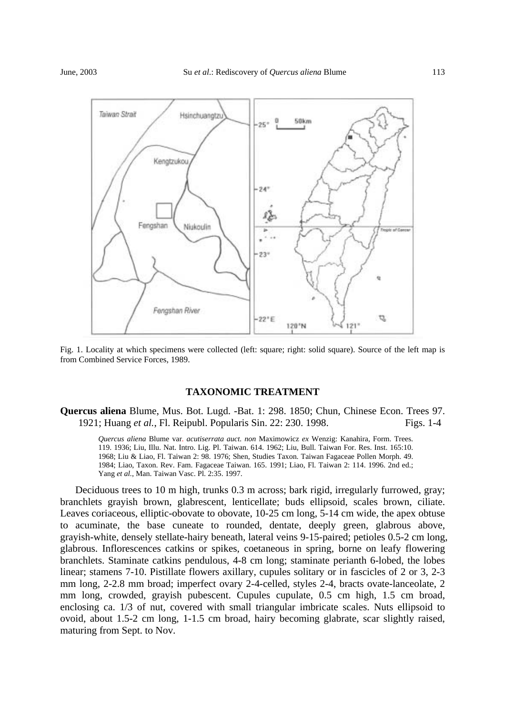

Fig. 1. Locality at which specimens were collected (left: square; right: solid square). Source of the left map is from Combined Service Forces, 1989.

### **TAXONOMIC TREATMENT**

**Quercus aliena** Blume, Mus. Bot. Lugd. -Bat. 1: 298. 1850; Chun, Chinese Econ. Trees 97. 1921; Huang *et al.*, Fl. Reipubl. Popularis Sin. 22: 230. 1998. Figs. 1-4

*Quercus aliena* Blume var. *acutiserrata auct. non* Maximowicz *ex* Wenzig: Kanahira, Form. Trees. 119. 1936; Liu, Illu. Nat. Intro. Lig. Pl. Taiwan. 614. 1962; Liu, Bull. Taiwan For. Res. Inst. 165:10. 1968; Liu & Liao, Fl. Taiwan 2: 98. 1976; Shen, Studies Taxon. Taiwan Fagaceae Pollen Morph. 49. 1984; Liao, Taxon. Rev. Fam. Fagaceae Taiwan. 165. 1991; Liao, Fl. Taiwan 2: 114. 1996. 2nd ed.; Yang *et al.*, Man. Taiwan Vasc. Pl. 2:35. 1997.

 Deciduous trees to 10 m high, trunks 0.3 m across; bark rigid, irregularly furrowed, gray; branchlets grayish brown, glabrescent, lenticellate; buds ellipsoid, scales brown, ciliate. Leaves coriaceous, elliptic-obovate to obovate, 10-25 cm long, 5-14 cm wide, the apex obtuse to acuminate, the base cuneate to rounded, dentate, deeply green, glabrous above, grayish-white, densely stellate-hairy beneath, lateral veins 9-15-paired; petioles 0.5-2 cm long, glabrous. Inflorescences catkins or spikes, coetaneous in spring, borne on leafy flowering branchlets. Staminate catkins pendulous, 4-8 cm long; staminate perianth 6-lobed, the lobes linear; stamens 7-10. Pistillate flowers axillary, cupules solitary or in fascicles of 2 or 3, 2-3 mm long, 2-2.8 mm broad; imperfect ovary 2-4-celled, styles 2-4, bracts ovate-lanceolate, 2 mm long, crowded, grayish pubescent. Cupules cupulate, 0.5 cm high, 1.5 cm broad, enclosing ca. 1/3 of nut, covered with small triangular imbricate scales. Nuts ellipsoid to ovoid, about 1.5-2 cm long, 1-1.5 cm broad, hairy becoming glabrate, scar slightly raised, maturing from Sept. to Nov.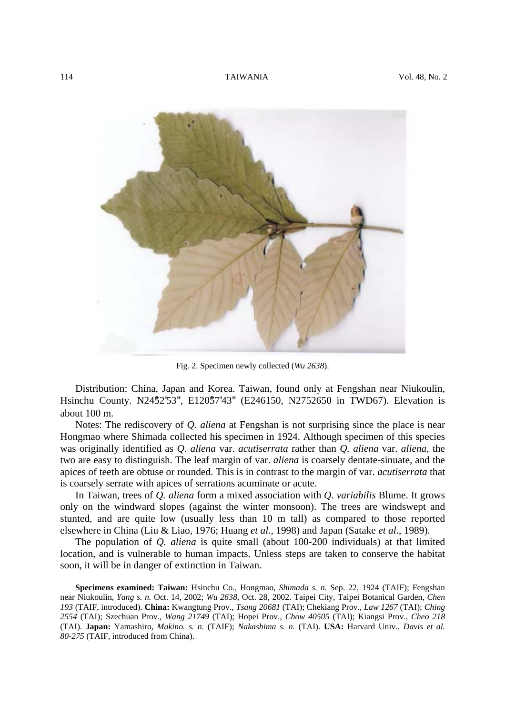

Fig. 2. Specimen newly collected (*Wu 2638*).

 Distribution: China, Japan and Korea. Taiwan, found only at Fengshan near Niukoulin, Hsinchu County. N2452'53", E12057'43" (E246150, N2752650 in TWD67). Elevation is about 100 m.

 Notes: The rediscovery of *Q. aliena* at Fengshan is not surprising since the place is near Hongmao where Shimada collected his specimen in 1924. Although specimen of this species was originally identified as *Q*. *aliena* var. *acutiserrata* rather than *Q. aliena* var. *aliena*, the two are easy to distinguish. The leaf margin of var. *aliena* is coarsely dentate-sinuate, and the apices of teeth are obtuse or rounded. This is in contrast to the margin of var. *acutiserrata* that is coarsely serrate with apices of serrations acuminate or acute.

 In Taiwan, trees of *Q. aliena* form a mixed association with *Q. variabilis* Blume. It grows only on the windward slopes (against the winter monsoon). The trees are windswept and stunted, and are quite low (usually less than 10 m tall) as compared to those reported elsewhere in China (Liu & Liao, 1976; Huang *et al*., 1998) and Japan (Satake *et al*., 1989).

 The population of *Q. aliena* is quite small (about 100-200 individuals) at that limited location, and is vulnerable to human impacts. Unless steps are taken to conserve the habitat soon, it will be in danger of extinction in Taiwan.

 **Specimens examined: Taiwan:** Hsinchu Co., Hongmao, *Shimada s. n.* Sep. 22, 1924 (TAIF); Fengshan near Niukoulin, *Yang s. n.* Oct. 14, 2002; *Wu 2638*, Oct. 28, 2002. Taipei City, Taipei Botanical Garden, *Chen 193* (TAIF, introduced). **China:** Kwangtung Prov., *Tsang 20681* (TAI); Chekiang Prov., *Law 1267* (TAI); *Ching 2554* (TAI); Szechuan Prov., *Wang 21749* (TAI); Hopei Prov., *Chow 40505* (TAI); Kiangsi Prov., *Cheo 218* (TAI). **Japan:** Yamashiro, *Makino. s. n.* (TAIF); *Nakashima s. n.* (TAI). **USA:** Harvard Univ., *Davis et al. 80-275* (TAIF, introduced from China).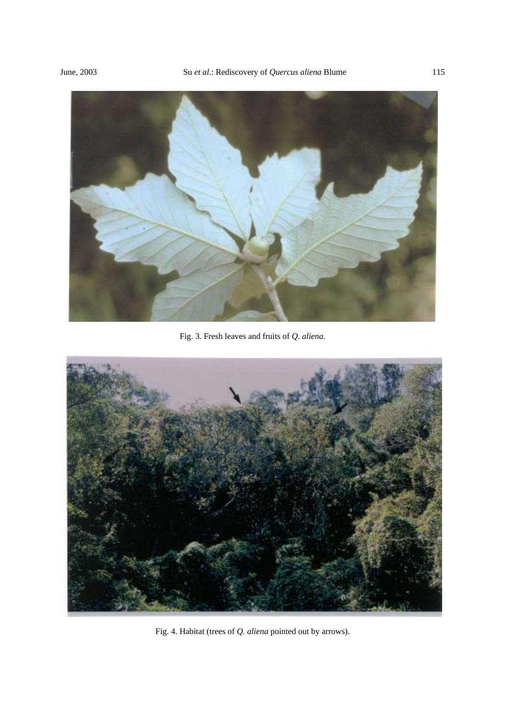

Fig. 3. Fresh leaves and fruits of *Q. aliena*.



Fig. 4. Habitat (trees of *Q. aliena* pointed out by arrows).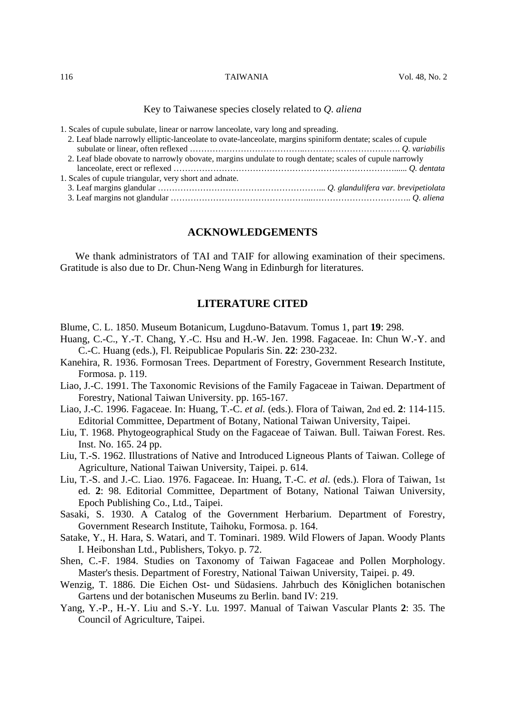Key to Taiwanese species closely related to *Q*. *aliena*

1. Scales of cupule subulate, linear or narrow lanceolate, vary long and spreading.

| 2. Leaf blade narrowly elliptic-lanceolate to ovate-lanceolate, margins spiniform dentate; scales of cupule |  |
|-------------------------------------------------------------------------------------------------------------|--|
|                                                                                                             |  |
| 2. Leaf blade obovate to narrowly obovate, margins undulate to rough dentate; scales of cupule narrowly     |  |
|                                                                                                             |  |
| 1. Scales of cupule triangular, very short and adnate.                                                      |  |
|                                                                                                             |  |
|                                                                                                             |  |
|                                                                                                             |  |

# **ACKNOWLEDGEMENTS**

 We thank administrators of TAI and TAIF for allowing examination of their specimens. Gratitude is also due to Dr. Chun-Neng Wang in Edinburgh for literatures.

# **LITERATURE CITED**

Blume, C. L. 1850. Museum Botanicum, Lugduno-Batavum. Tomus 1, part **19**: 298.

- Huang, C.-C., Y.-T. Chang, Y.-C. Hsu and H.-W. Jen. 1998. Fagaceae. In: Chun W.-Y. and C.-C. Huang (eds.), Fl. Reipublicae Popularis Sin. **22**: 230-232.
- Kanehira, R. 1936. Formosan Trees. Department of Forestry, Government Research Institute, Formosa. p. 119.
- Liao, J.-C. 1991. The Taxonomic Revisions of the Family Fagaceae in Taiwan. Department of Forestry, National Taiwan University. pp. 165-167.
- Liao, J.-C. 1996. Fagaceae. In: Huang, T.-C. *et al.* (eds.). Flora of Taiwan, 2nd ed. **2**: 114-115. Editorial Committee, Department of Botany, National Taiwan University, Taipei.
- Liu, T. 1968. Phytogeographical Study on the Fagaceae of Taiwan. Bull. Taiwan Forest. Res. Inst. No. 165. 24 pp.
- Liu, T.-S. 1962. Illustrations of Native and Introduced Ligneous Plants of Taiwan. College of Agriculture, National Taiwan University, Taipei. p. 614.
- Liu, T.-S. and J.-C. Liao. 1976. Fagaceae. In: Huang, T.-C. *et al.* (eds.). Flora of Taiwan, 1st ed. **2**: 98. Editorial Committee, Department of Botany, National Taiwan University, Epoch Publishing Co., Ltd., Taipei.
- Sasaki, S. 1930. A Catalog of the Government Herbarium. Department of Forestry, Government Research Institute, Taihoku, Formosa. p. 164.
- Satake, Y., H. Hara, S. Watari, and T. Tominari. 1989. Wild Flowers of Japan. Woody Plants I. Heibonshan Ltd., Publishers, Tokyo. p. 72.
- Shen, C.-F. 1984. Studies on Taxonomy of Taiwan Fagaceae and Pollen Morphology. Master's thesis. Department of Forestry, National Taiwan University, Taipei. p. 49.
- Wenzig, T. 1886. Die Eichen Ost- und Südasiens. Jahrbuch des Königlichen botanischen Gartens und der botanischen Museums zu Berlin. band IV: 219.
- Yang, Y.-P., H.-Y. Liu and S.-Y. Lu. 1997. Manual of Taiwan Vascular Plants **2**: 35. The Council of Agriculture, Taipei.